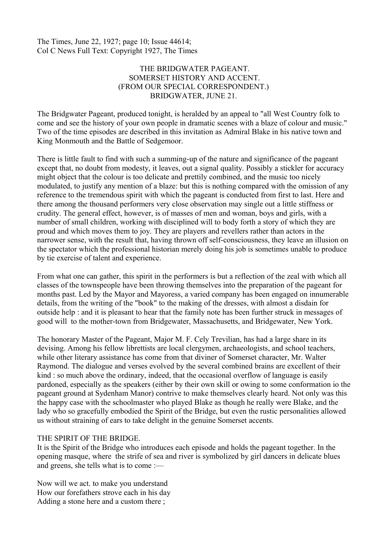The Times, June 22, 1927; page 10; Issue 44614; Col C News Full Text: Copyright 1927, The Times

## THE BRIDGWATER PAGEANT. SOMERSET HISTORY AND ACCENT. (FROM OUR SPECIAL CORRESPONDENT.) BRIDGWATER, JUNE 21.

The Bridgwater Pageant, produced tonight, is heralded by an appeal to "all West Country folk to come and see the history of your own people in dramatic scenes with a blaze of colour and music." Two of the time episodes are described in this invitation as Admiral Blake in his native town and King Monmouth and the Battle of Sedgemoor.

There is little fault to find with such a summing-up of the nature and significance of the pageant except that, no doubt from modesty, it leaves, out a signal quality. Possibly a stickler for accuracy might object that the colour is too delicate and prettily combined, and the music too nicely modulated, to justify any mention of a blaze: but this is nothing compared with the omission of any reference to the tremendous spirit with which the pageant is conducted from first to last. Here and there among the thousand performers very close observation may single out a little stiffness or crudity. The general effect, however, is of masses of men and woman, boys and girls, with a number of small children, working with disciplined will to body forth a story of which they are proud and which moves them to joy. They are players and revellers rather than actors in the narrower sense, with the result that, having thrown off self-consciousness, they leave an illusion on the spectator which the professional historian merely doing his job is sometimes unable to produce by tie exercise of talent and experience.

From what one can gather, this spirit in the performers is but a reflection of the zeal with which all classes of the townspeople have been throwing themselves into the preparation of the pageant for months past. Led by the Mayor and Mayoress, a varied company has been engaged on innumerable details, from the writing of the "book" to the making of the dresses, with almost a disdain for outside help : and it is pleasant to hear that the family note has been further struck in messages of good will to the mother-town from Bridgewater, Massachusetts, and Bridgewater, New York.

The honorary Master of the Pageant, Major M. F. Cely Trevilian, has had a large share in its devising. Among his fellow librettists are local clergymen, archaeologists, and school teachers, while other literary assistance has come from that diviner of Somerset character, Mr. Walter Raymond. The dialogue and verses evolved by the several combined brains are excellent of their kind : so much above the ordinary, indeed, that the occasional overflow of language is easily pardoned, especially as the speakers (either by their own skill or owing to some conformation io the pageant ground at Sydenham Manor) contrive to make themselves clearly heard. Not only was this the happy case with the schoolmaster who played Blake as though he really were Blake, and the lady who so gracefully embodied the Spirit of the Bridge, but even the rustic personalities allowed us without straining of ears to take delight in the genuine Somerset accents.

## THE SPIRIT OF THE BRIDGE.

It is the Spirit of the Bridge who introduces each episode and holds the pageant together. In the opening masque, where the strife of sea and river is symbolized by girl dancers in delicate blues and greens, she tells what is to come :—

Now will we act. to make you understand How our forefathers strove each in his day Adding a stone here and a custom there ;